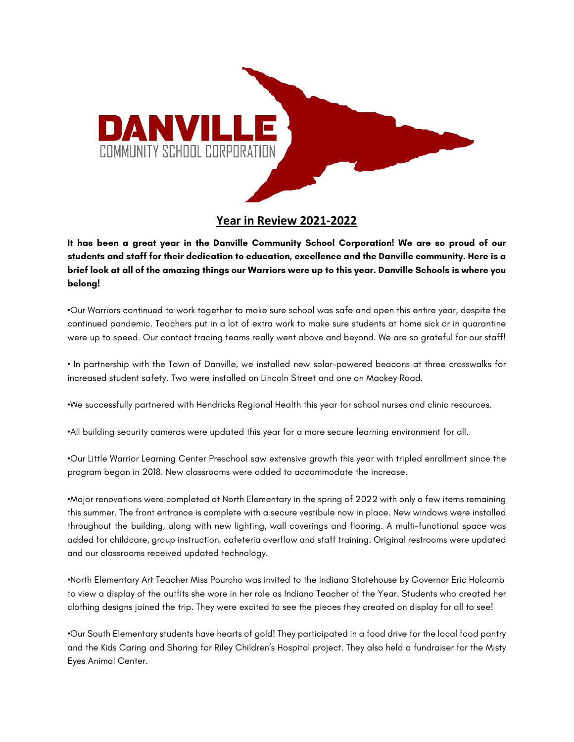

## **Year in Review 2021-2022**

**It has been a great year in the Danville Community School Corporation! We are so proud of our students and staff for their dedication to education, excellence and the Danville community. Here is a brief look at all of the amazing things our Warriors were up to this year. Danville Schools is where you belong!**

•Our Warriors continued to work together to make sure school was safe and open this entire year, despite the continued pandemic. Teachers put in a lot of extra work to make sure students at home sick or in quarantine were up to speed. Our contact tracing teams really went above and beyond. We are so grateful for our staff!

• In partnership with the Town of Danville, we installed new solar-powered beacons at three crosswalks for increased student safety. Two were installed on Lincoln Street and one on Mackey Road.

•We successfully partnered with Hendricks Regional Health this year for school nurses and clinic resources.

•All building security cameras were updated this year for a more secure learning environment for all.

•Our Little Warrior Learning Center Preschool saw extensive growth this year with tripled enrollment since the program began in 2018. New classrooms were added to accommodate the increase.

•Major renovations were completed at North Elementary in the spring of 2022 with only a few items remaining this summer. The front entrance is complete with a secure vestibule now in place. New windows were installed throughout the building, along with new lighting, wall coverings and flooring. A multi-functional space was added for childcare, group instruction, cafeteria overflow and staff training. Original restrooms were updated and our classrooms received updated technology.

•North Elementary Art Teacher Miss Pourcho was invited to the Indiana Statehouse by Governor Eric Holcomb to view a display of the outfits she wore in her role as Indiana Teacher of the Year. Students who created her clothing designs joined the trip. They were excited to see the pieces they created on display for all to see!

•Our South Elementary students have hearts of gold! They participated in a food drive for the local food pantry and the Kids Caring and Sharing for Riley Children's Hospital project. They also held a fundraiser for the Misty Eyes Animal Center.